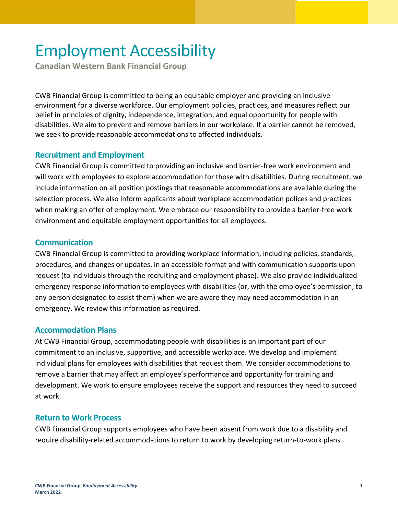# Employment Accessibility

**Canadian Western Bank Financial Group**

CWB Financial Group is committed to being an equitable employer and providing an inclusive environment for a diverse workforce. Our employment policies, practices, and measures reflect our belief in principles of dignity, independence, integration, and equal opportunity for people with disabilities. We aim to prevent and remove barriers in our workplace. If a barrier cannot be removed, we seek to provide reasonable accommodations to affected individuals.

#### **Recruitment and Employment**

CWB Financial Group is committed to providing an inclusive and barrier-free work environment and will work with employees to explore accommodation for those with disabilities. During recruitment, we include information on all position postings that reasonable accommodations are available during the selection process. We also inform applicants about workplace accommodation polices and practices when making an offer of employment. We embrace our responsibility to provide a barrier-free work environment and equitable employment opportunities for all employees.

### **Communication**

CWB Financial Group is committed to providing workplace information, including policies, standards, procedures, and changes or updates, in an accessible format and with communication supports upon request (to individuals through the recruiting and employment phase). We also provide individualized emergency response information to employees with disabilities (or, with the employee's permission, to any person designated to assist them) when we are aware they may need accommodation in an emergency. We review this information as required.

#### **Accommodation Plans**

At CWB Financial Group, accommodating people with disabilities is an important part of our commitment to an inclusive, supportive, and accessible workplace. We develop and implement individual plans for employees with disabilities that request them. We consider accommodations to remove a barrier that may affect an employee's performance and opportunity for training and development. We work to ensure employees receive the support and resources they need to succeed at work.

## **Return to Work Process**

CWB Financial Group supports employees who have been absent from work due to a disability and require disability-related accommodations to return to work by developing return-to-work plans.